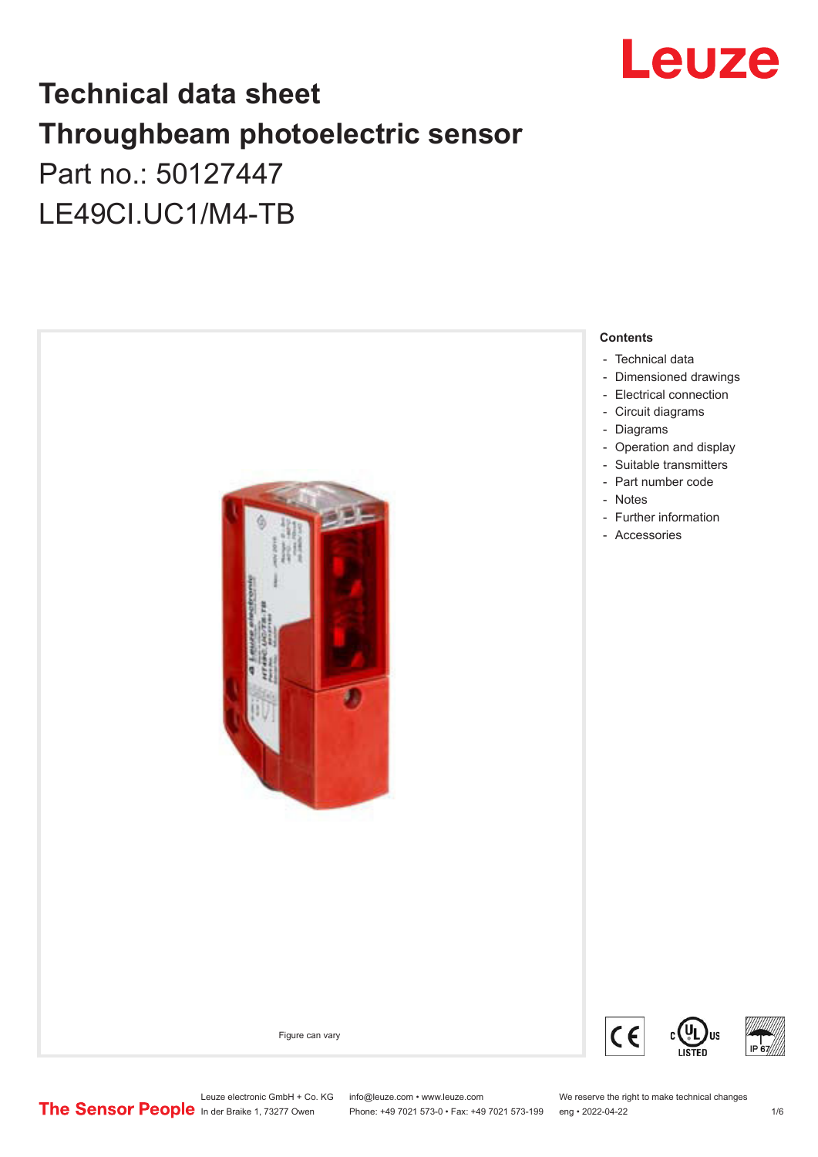

## **Technical data sheet Throughbeam photoelectric sensor**  Part no.: 50127447 LE49CI.UC1/M4-TB



Leuze electronic GmbH + Co. KG info@leuze.com • www.leuze.com We reserve the right to make technical changes<br>
The Sensor People in der Braike 1, 73277 Owen Phone: +49 7021 573-0 • Fax: +49 7021 573-199 eng • 2022-04-22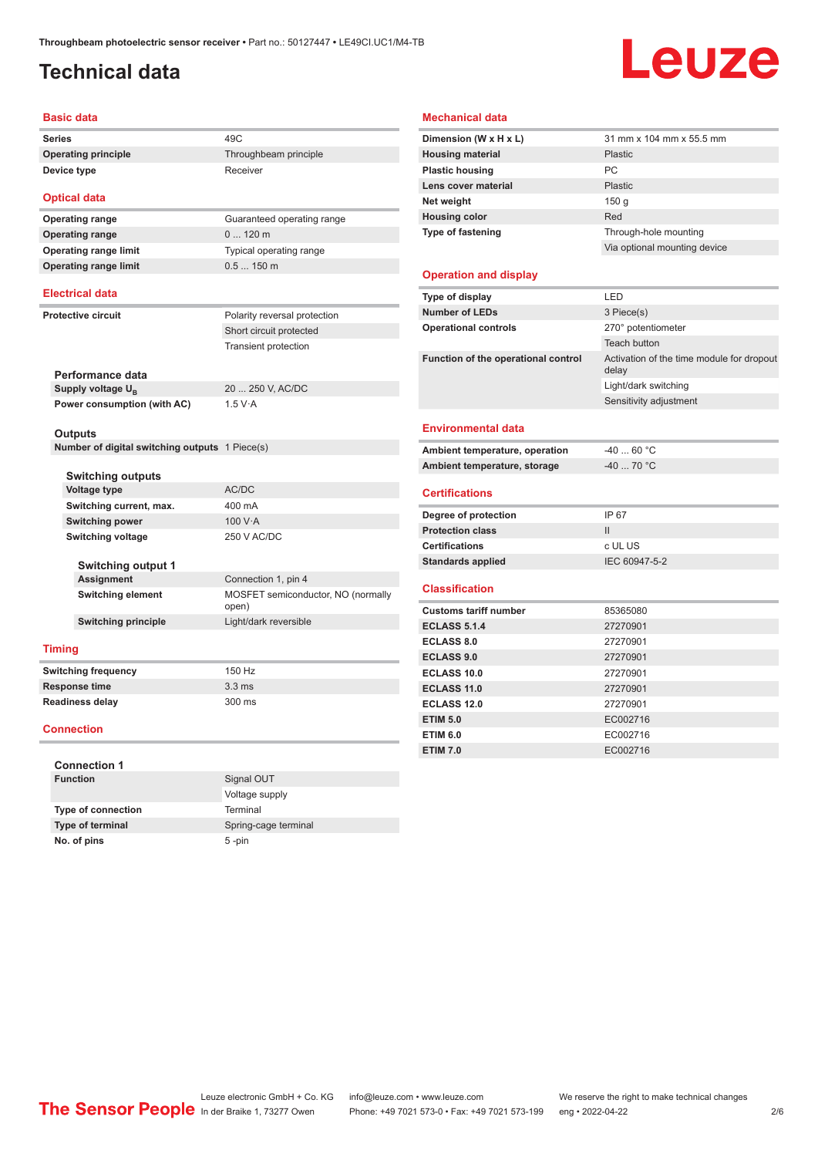### <span id="page-1-0"></span>**Technical data**

# Leuze

#### **Basic data**

| <b>Series</b>              | 49C                   |
|----------------------------|-----------------------|
| <b>Operating principle</b> | Throughbeam principle |

**Operating range limit** 

| Device type                  | Receiver                   |
|------------------------------|----------------------------|
| <b>Optical data</b>          |                            |
| <b>Operating range</b>       | Guaranteed operating range |
| <b>Operating range</b>       | $0120$ m                   |
| <b>Operating range limit</b> | Typical operating range    |
| Onerating range limit        | 05 L<br>150 $m$            |

Short circuit protected Transient protection

#### **Electrical data**

| <b>Protective circuit</b> |  |  |  | Polarity reversal protection |
|---------------------------|--|--|--|------------------------------|
|                           |  |  |  |                              |

**Performance data** Supply voltage  $U_{\text{B}}$ **Power consumption (with AC)** 1.5 V·A

20 ... 250 V, AC/DC

#### **Outputs**

**Number of digital switching outputs** 1 Piece(s)

| <b>Switching outputs</b>  |                 |  |
|---------------------------|-----------------|--|
| <b>Voltage type</b>       | AC/DC           |  |
| Switching current, max.   | 400 mA          |  |
| <b>Switching power</b>    | 100 V $\cdot$ A |  |
| <b>Switching voltage</b>  | 250 V AC/DC     |  |
| <b>Switching output 1</b> |                 |  |

| <b>Assignment</b>        | Connection 1, pin 4                         |
|--------------------------|---------------------------------------------|
| <b>Switching element</b> | MOSFET semiconductor, NO (normally<br>open) |
| Switching principle      | Light/dark reversible                       |
|                          |                                             |

#### **Timing**

**Switching frequency** 150 Hz **Response time** 3.3 ms **Readiness delay** 300 ms

#### **Connection**

| <b>Connection 1</b>       |                      |
|---------------------------|----------------------|
| <b>Function</b>           | Signal OUT           |
|                           | Voltage supply       |
| <b>Type of connection</b> | Terminal             |
| <b>Type of terminal</b>   | Spring-cage terminal |
| No. of pins               | $5 - pin$            |

#### **Mechanical data**

| Dimension (W x H x L)               | 31 mm x 104 mm x 55.5 mm                           |
|-------------------------------------|----------------------------------------------------|
| <b>Housing material</b>             | Plastic                                            |
| <b>Plastic housing</b>              | PC                                                 |
| Lens cover material                 | Plastic                                            |
| Net weight                          | 150 <sub>g</sub>                                   |
| <b>Housing color</b>                | Red                                                |
| <b>Type of fastening</b>            | Through-hole mounting                              |
|                                     | Via optional mounting device                       |
|                                     |                                                    |
| <b>Operation and display</b>        |                                                    |
| Type of display                     | LED                                                |
| <b>Number of LEDs</b>               | 3 Piece(s)                                         |
| <b>Operational controls</b>         | 270° potentiometer                                 |
|                                     | Teach button                                       |
| Function of the operational control | Activation of the time module for dropout<br>delay |
|                                     | Light/dark switching                               |
|                                     | Sensitivity adjustment                             |
| <b>Environmental data</b>           |                                                    |
| Ambient temperature, operation      | $-40$ 60 °C                                        |
| Ambient temperature, storage        | $-40$ 70 °C                                        |
| <b>Certifications</b>               |                                                    |
| Degree of protection                | IP 67                                              |
| <b>Protection class</b>             | $\mathbf{H}$                                       |
| <b>Certifications</b>               | c UL US                                            |
|                                     |                                                    |
| <b>Standards applied</b>            | IEC 60947-5-2                                      |
| <b>Classification</b>               |                                                    |
| <b>Customs tariff number</b>        | 85365080                                           |
| <b>ECLASS 5.1.4</b>                 | 27270901                                           |
| <b>ECLASS 8.0</b>                   | 27270901                                           |
| <b>ECLASS 9.0</b>                   | 27270901                                           |
| <b>ECLASS 10.0</b>                  | 27270901                                           |
| <b>ECLASS 11.0</b>                  | 27270901                                           |
| <b>ECLASS 12.0</b>                  | 27270901                                           |
| <b>ETIM 5.0</b>                     | EC002716                                           |
| <b>ETIM 6.0</b>                     | EC002716                                           |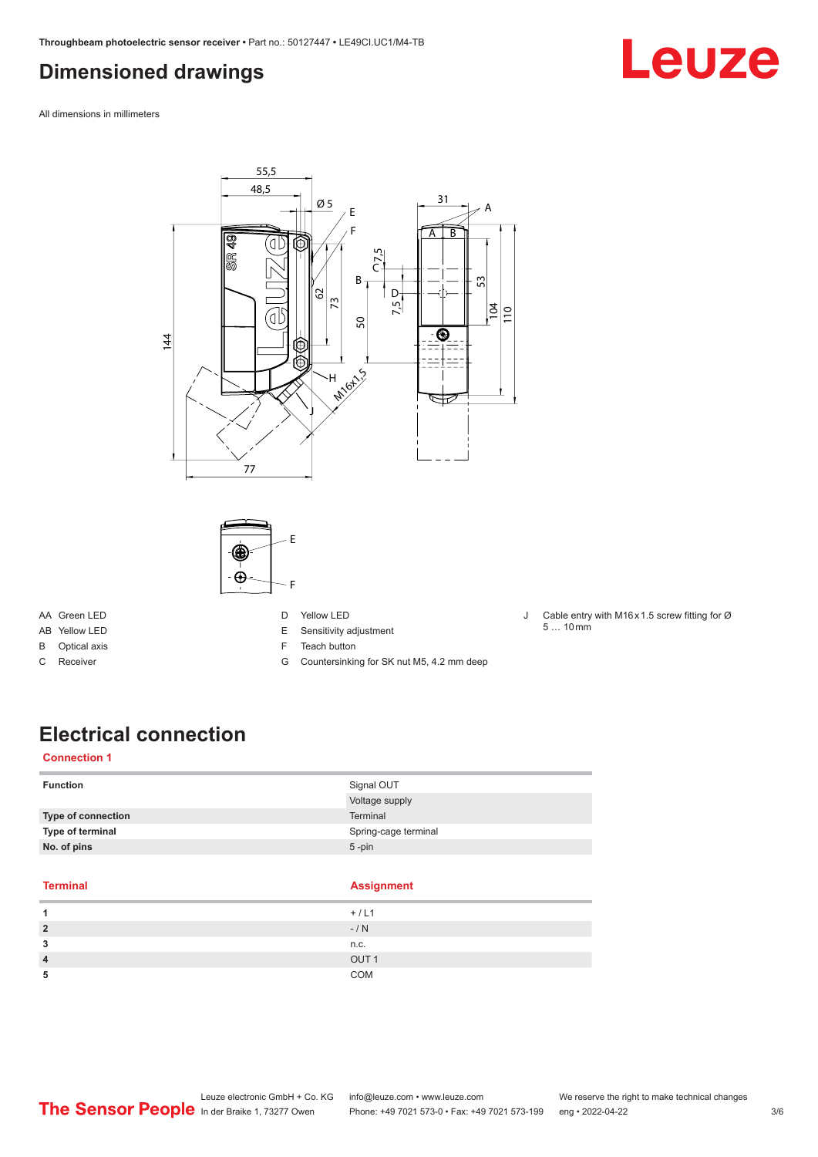### <span id="page-2-0"></span>**Dimensioned drawings**

Leuze

All dimensions in millimeters



AA Green LED

- AB Yellow LED
- B Optical axis
- C Receiver
- E Sensitivity adjustment
- F Teach button
- G Countersinking for SK nut M5, 4.2 mm deep
- J Cable entry with M16 x 1.5 screw fitting for Ø  $5...10 \,\text{mm}$

### **Electrical connection**

#### **Connection 1**

| <b>Function</b>    | Signal OUT           |
|--------------------|----------------------|
|                    | Voltage supply       |
| Type of connection | <b>Terminal</b>      |
| Type of terminal   | Spring-cage terminal |
| No. of pins        | $5 - pin$            |

#### **Terminal Assignment**

 $\overline{\phantom{a}}$ 

|                | $+/LI$           |
|----------------|------------------|
| $\overline{2}$ | $-/ N$           |
| 3              | n.c.             |
| 4              | OUT <sub>1</sub> |
| 5              | COM              |
|                |                  |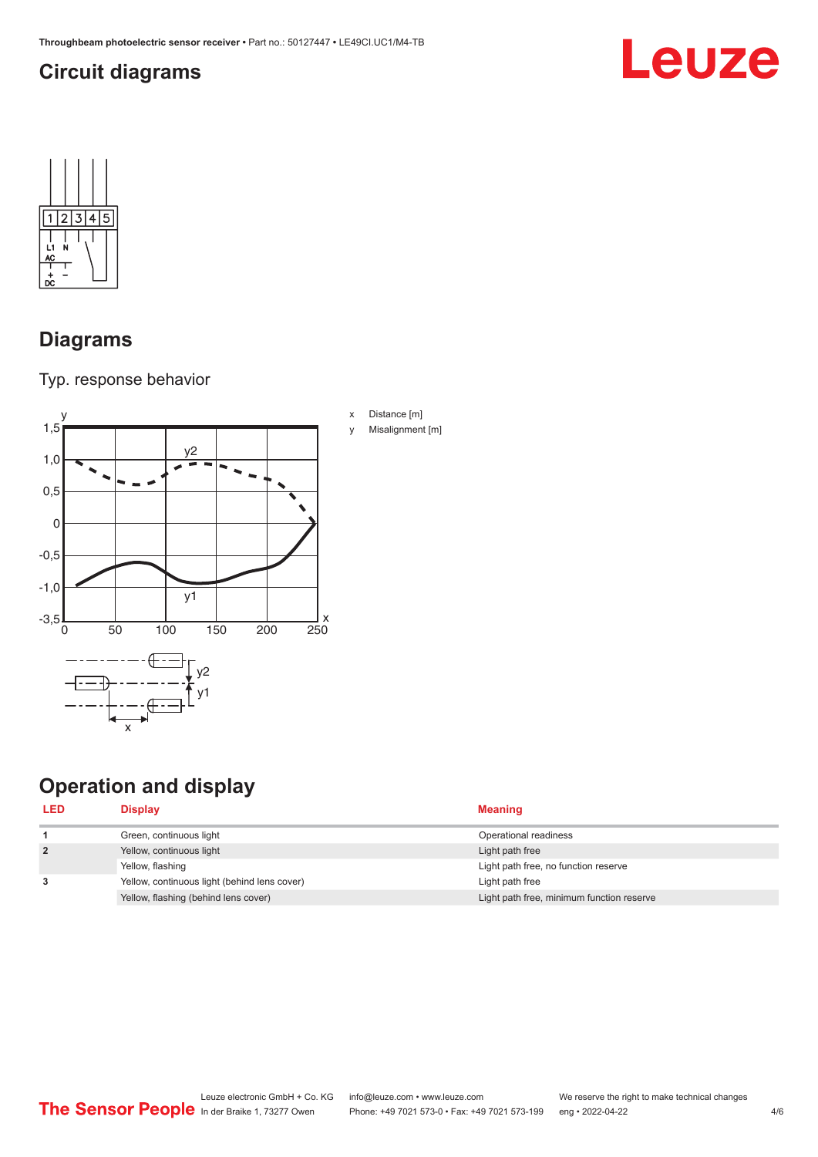### <span id="page-3-0"></span>**Circuit diagrams**





#### **Diagrams**

Typ. response behavior



### **Operation and display**

| <b>LED</b>     | <b>Display</b>                               | <b>Meaning</b>                            |
|----------------|----------------------------------------------|-------------------------------------------|
|                | Green, continuous light                      | Operational readiness                     |
| $\overline{2}$ | Yellow, continuous light                     | Light path free                           |
|                | Yellow, flashing                             | Light path free, no function reserve      |
| 3              | Yellow, continuous light (behind lens cover) | Light path free                           |
|                | Yellow, flashing (behind lens cover)         | Light path free, minimum function reserve |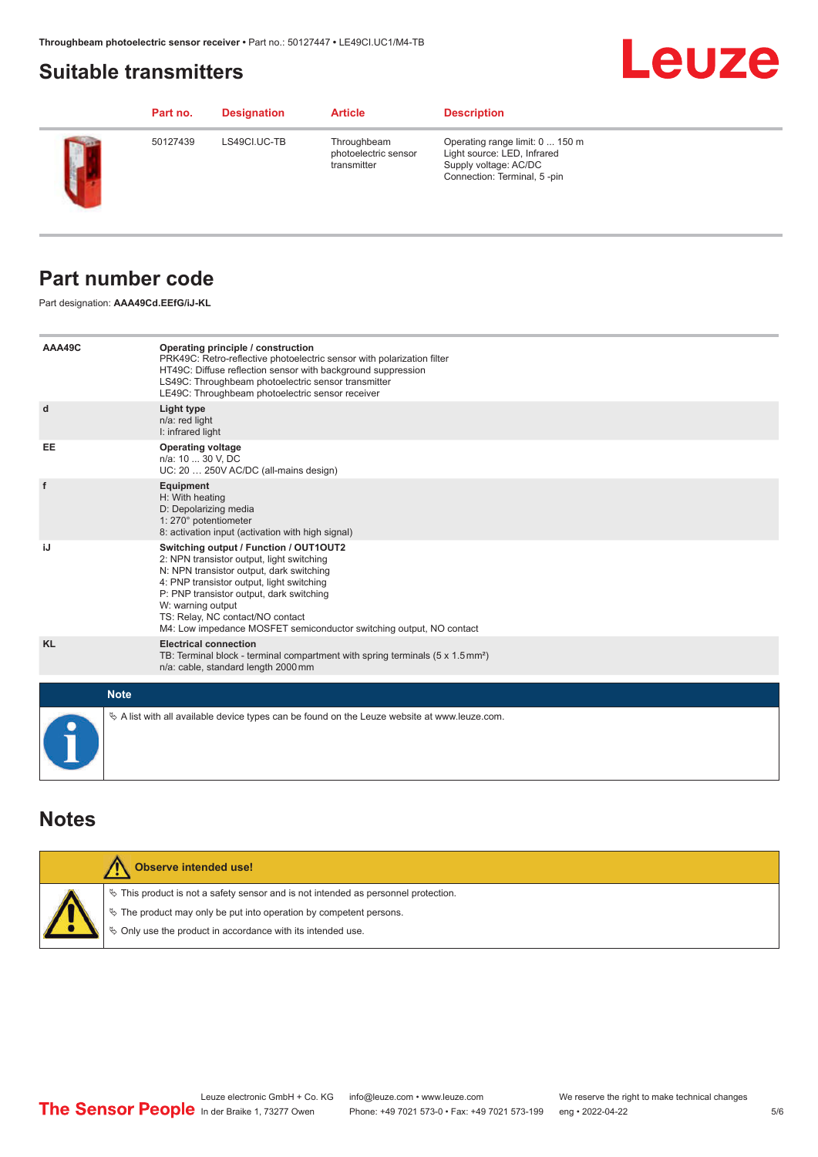#### <span id="page-4-0"></span>**Suitable transmitters**

## **Leuze**

|          | Part no. | <b>Designation</b> | <b>Article</b>                                     | <b>Description</b>                                                                                                     |
|----------|----------|--------------------|----------------------------------------------------|------------------------------------------------------------------------------------------------------------------------|
| $\Gamma$ | 50127439 | LS49CI.UC-TB       | Throughbeam<br>photoelectric sensor<br>transmitter | Operating range limit: 0  150 m<br>Light source: LED, Infrared<br>Supply voltage: AC/DC<br>Connection: Terminal, 5-pin |

#### **Part number code**

Part designation: **AAA49Cd.EEfG/iJ-KL**

| AAA49C    | Operating principle / construction<br>PRK49C: Retro-reflective photoelectric sensor with polarization filter<br>HT49C: Diffuse reflection sensor with background suppression<br>LS49C: Throughbeam photoelectric sensor transmitter<br>LE49C: Throughbeam photoelectric sensor receiver                                                                  |
|-----------|----------------------------------------------------------------------------------------------------------------------------------------------------------------------------------------------------------------------------------------------------------------------------------------------------------------------------------------------------------|
| d         | Light type<br>n/a: red light<br>I: infrared light                                                                                                                                                                                                                                                                                                        |
| EE        | <b>Operating voltage</b><br>n/a: 10  30 V, DC<br>UC: 20  250V AC/DC (all-mains design)                                                                                                                                                                                                                                                                   |
| f         | Equipment<br>H: With heating<br>D: Depolarizing media<br>1: 270° potentiometer<br>8: activation input (activation with high signal)                                                                                                                                                                                                                      |
| iJ        | Switching output / Function / OUT1OUT2<br>2: NPN transistor output, light switching<br>N: NPN transistor output, dark switching<br>4: PNP transistor output, light switching<br>P: PNP transistor output, dark switching<br>W: warning output<br>TS: Relay, NC contact/NO contact<br>M4: Low impedance MOSFET semiconductor switching output, NO contact |
| <b>KL</b> | <b>Electrical connection</b><br>TB: Terminal block - terminal compartment with spring terminals $(5 \times 1.5 \text{ mm}^2)$<br>n/a: cable, standard length 2000 mm                                                                                                                                                                                     |
|           | <b>Note</b>                                                                                                                                                                                                                                                                                                                                              |
|           | $\&$ A list with all available device types can be found on the Leuze website at www.leuze.com.                                                                                                                                                                                                                                                          |

#### **Notes**

|  | Observe intended use!                                                                 |
|--|---------------------------------------------------------------------------------------|
|  | $\%$ This product is not a safety sensor and is not intended as personnel protection. |
|  | ↓ The product may only be put into operation by competent persons.                    |
|  | ♦ Only use the product in accordance with its intended use.                           |
|  |                                                                                       |